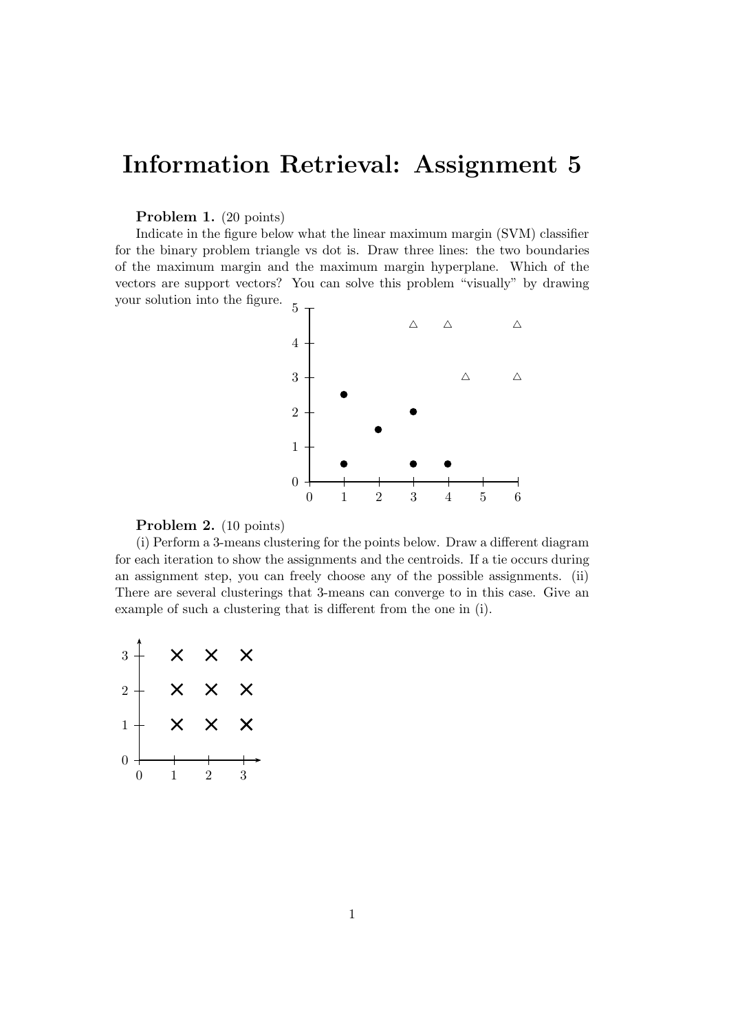## Information Retrieval: Assignment 5

## Problem 1. (20 points)

Indicate in the figure below what the linear maximum margin (SVM) classifier for the binary problem triangle vs dot is. Draw three lines: the two boundaries of the maximum margin and the maximum margin hyperplane. Which of the vectors are support vectors? You can solve this problem "visually" by drawing your solution into the figure. 5



## Problem 2. (10 points)

(i) Perform a 3-means clustering for the points below. Draw a different diagram for each iteration to show the assignments and the centroids. If a tie occurs during an assignment step, you can freely choose any of the possible assignments. (ii) There are several clusterings that 3-means can converge to in this case. Give an example of such a clustering that is different from the one in (i).